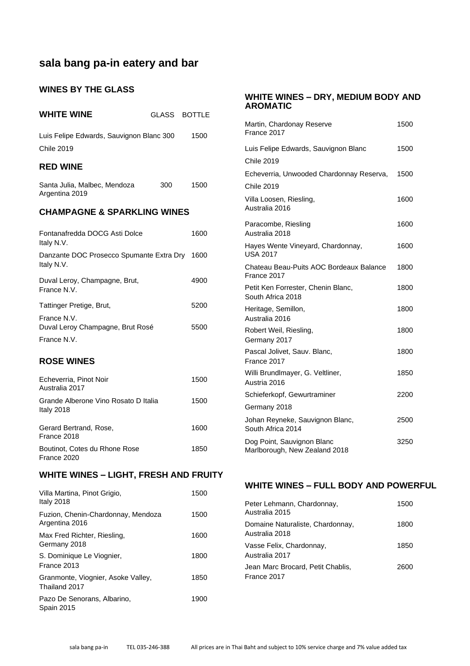# **sala bang pa-in eatery and bar**

### **WINES BY THE GLASS**

| <b>WHITE WINE</b>                                             |     | GLASS BOTTLE |
|---------------------------------------------------------------|-----|--------------|
| Luis Felipe Edwards, Sauvignon Blanc 300<br><b>Chile 2019</b> |     | 1500         |
| <b>RED WINE</b>                                               |     |              |
| Santa Julia, Malbec, Mendoza<br>Argentina 2019                | 300 | 1500         |
| <b>CHAMPAGNE &amp; SPARKLING WINES</b>                        |     |              |
| Fontanafredda DOCG Asti Dolce<br>Italy N.V.                   |     | 1600         |
| Danzante DOC Prosecco Spumante Extra Dry 1600<br>Italy N.V.   |     |              |
| Duval Leroy, Champagne, Brut,<br>France N.V.                  |     | 4900         |
| Tattinger Pretige, Brut,                                      |     | 5200         |
| France N.V.<br>Duval Leroy Champagne, Brut Rosé               |     | 5500         |
| France N.V.                                                   |     |              |
| <b>ROSE WINES</b>                                             |     |              |
| Echeverria, Pinot Noir<br>Australia 2017                      |     | 1500         |
| Grande Alberone Vino Rosato D Italia<br>Italy 2018            |     | 1500         |
| Gerard Bertrand, Rose,<br>France 2018                         |     | 1600         |
| Boutinot, Cotes du Rhone Rose<br>France 2020                  |     | 1850         |
| <b>WHITE WINES - LIGHT, FRESH AND FRUITY</b>                  |     |              |
| Villa Martina, Pinot Grigio,<br>Italy 2018                    |     | 1500         |
| Fuzion, Chenin-Chardonnay, Mendoza<br>Argentina 2016          |     | 1500         |

Max Fred Richter, Riesling, 1600

S. Dominique Le Viognier, 1800

Granmonte, Viognier, Asoke Valley, 1850

Pazo De Senorans, Albarino, 1900

Germany 2018

France 2013

Thailand 2017

Spain 2015

### **WHITE WINES – DRY, MEDIUM BODY AND AROMATIC**

| Martin, Chardonay Reserve<br>France 2017                    | 1500 |
|-------------------------------------------------------------|------|
| Luis Felipe Edwards, Sauvignon Blanc                        | 1500 |
| <b>Chile 2019</b>                                           |      |
| Echeverria, Unwooded Chardonnay Reserva,                    | 1500 |
| <b>Chile 2019</b>                                           |      |
| Villa Loosen, Riesling,<br>Australia 2016                   | 1600 |
| Paracombe, Riesling<br>Australia 2018                       | 1600 |
| Hayes Wente Vineyard, Chardonnay,<br><b>USA 2017</b>        | 1600 |
| Chateau Beau-Puits AOC Bordeaux Balance<br>France 2017      | 1800 |
| Petit Ken Forrester, Chenin Blanc,<br>South Africa 2018     | 1800 |
| Heritage, Semillon,<br>Australia 2016                       | 1800 |
| Robert Weil, Riesling,<br>Germany 2017                      | 1800 |
| Pascal Jolivet, Sauv. Blanc,<br>France 2017                 | 1800 |
| Willi Brundlmayer, G. Veltliner,<br>Austria 2016            | 1850 |
| Schieferkopf, Gewurtraminer                                 | 2200 |
| Germany 2018                                                |      |
| Johan Reyneke, Sauvignon Blanc,<br>South Africa 2014        | 2500 |
| Dog Point, Sauvignon Blanc<br>Marlborough, New Zealand 2018 | 3250 |

#### **WHITE WINES – FULL BODY AND POWERFUL**

| Peter Lehmann, Chardonnay,<br>Australia 2015       | 1500 |
|----------------------------------------------------|------|
| Domaine Naturaliste, Chardonnay,<br>Australia 2018 | 1800 |
| Vasse Felix, Chardonnay,<br>Australia 2017         | 1850 |
| Jean Marc Brocard, Petit Chablis,<br>France 2017   | 2600 |